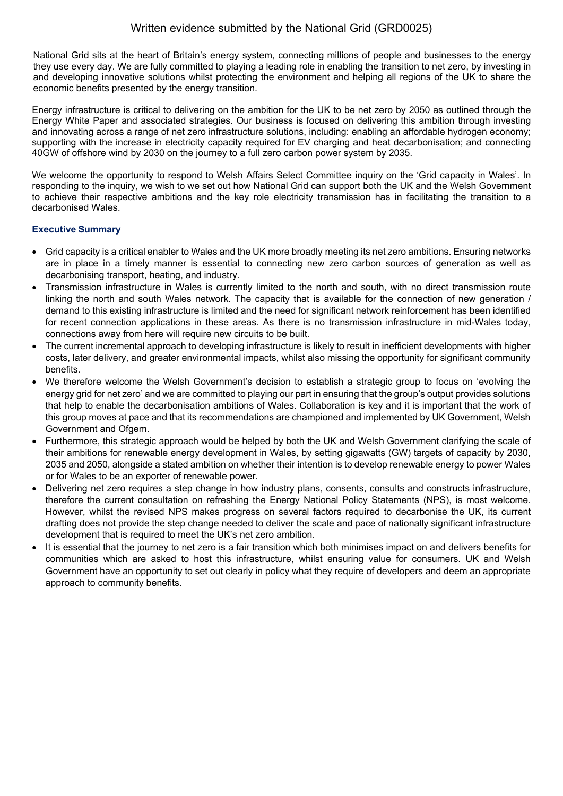National Grid sits at the heart of Britain's energy system, connecting millions of people and businesses to the energy they use every day. We are fully committed to playing a leading role in enabling the transition to net zero, by investing in and developing innovative solutions whilst protecting the environment and helping all regions of the UK to share the economic benefits presented by the energy transition.

Energy infrastructure is critical to delivering on the ambition for the UK to be net zero by 2050 as outlined through the Energy White Paper and associated strategies. Our business is focused on delivering this ambition through investing and innovating across a range of net zero infrastructure solutions, including: enabling an affordable hydrogen economy; supporting with the increase in electricity capacity required for EV charging and heat decarbonisation; and connecting 40GW of offshore wind by 2030 on the journey to a full zero carbon power system by 2035.

We welcome the opportunity to respond to Welsh Affairs Select Committee inquiry on the 'Grid capacity in Wales'. In responding to the inquiry, we wish to we set out how National Grid can support both the UK and the Welsh Government to achieve their respective ambitions and the key role electricity transmission has in facilitating the transition to a decarbonised Wales.

# **Executive Summary**

- Grid capacity is a critical enabler to Wales and the UK more broadly meeting its net zero ambitions. Ensuring networks are in place in a timely manner is essential to connecting new zero carbon sources of generation as well as decarbonising transport, heating, and industry.
- Transmission infrastructure in Wales is currently limited to the north and south, with no direct transmission route linking the north and south Wales network. The capacity that is available for the connection of new generation / demand to this existing infrastructure is limited and the need for significant network reinforcement has been identified for recent connection applications in these areas. As there is no transmission infrastructure in mid-Wales today, connections away from here will require new circuits to be built.
- The current incremental approach to developing infrastructure is likely to result in inefficient developments with higher costs, later delivery, and greater environmental impacts, whilst also missing the opportunity for significant community benefits.
- We therefore welcome the Welsh Government's decision to establish a strategic group to focus on 'evolving the energy grid for net zero' and we are committed to playing our part in ensuring that the group's output provides solutions that help to enable the decarbonisation ambitions of Wales. Collaboration is key and it is important that the work of this group moves at pace and that its recommendations are championed and implemented by UK Government, Welsh Government and Ofgem.
- Furthermore, this strategic approach would be helped by both the UK and Welsh Government clarifying the scale of their ambitions for renewable energy development in Wales, by setting gigawatts (GW) targets of capacity by 2030, 2035 and 2050, alongside a stated ambition on whether their intention is to develop renewable energy to power Wales or for Wales to be an exporter of renewable power.
- Delivering net zero requires a step change in how industry plans, consents, consults and constructs infrastructure, therefore the current consultation on refreshing the Energy National Policy Statements (NPS), is most welcome. However, whilst the revised NPS makes progress on several factors required to decarbonise the UK, its current drafting does not provide the step change needed to deliver the scale and pace of nationally significant infrastructure development that is required to meet the UK's net zero ambition.
- It is essential that the journey to net zero is a fair transition which both minimises impact on and delivers benefits for communities which are asked to host this infrastructure, whilst ensuring value for consumers. UK and Welsh Government have an opportunity to set out clearly in policy what they require of developers and deem an appropriate approach to community benefits.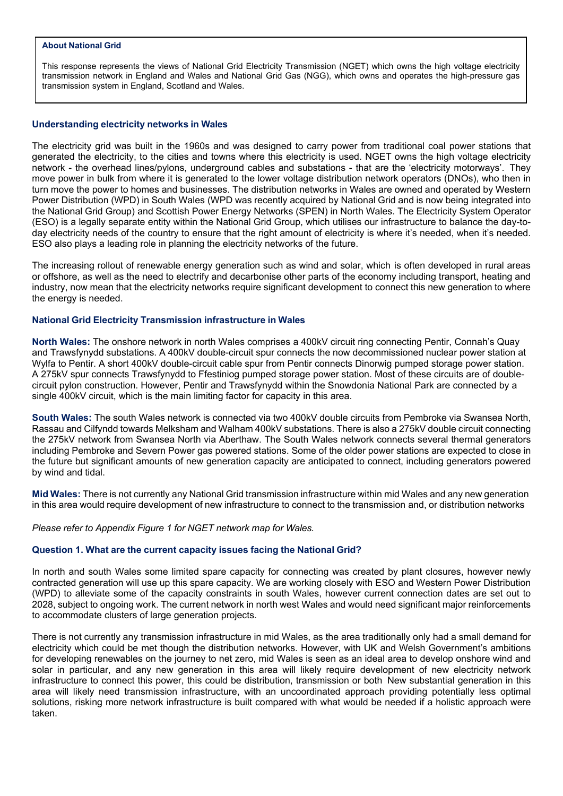#### **About National Grid**

This response represents the views of National Grid Electricity Transmission (NGET) which owns the high voltage electricity transmission network in England and Wales and National Grid Gas (NGG), which owns and operates the high-pressure gas transmission system in England, Scotland and Wales.

## **Understanding electricity networks in Wales**

The electricity grid was built in the 1960s and was designed to carry power from traditional coal power stations that generated the electricity, to the cities and towns where this electricity is used. NGET owns the high voltage electricity network - the overhead lines/pylons, underground cables and substations - that are the 'electricity motorways'. They move power in bulk from where it is generated to the lower voltage distribution network operators (DNOs), who then in turn move the power to homes and businesses. The distribution networks in Wales are owned and operated by Western Power Distribution (WPD) in South Wales (WPD was recently acquired by National Grid and is now being integrated into the National Grid Group) and Scottish Power Energy Networks (SPEN) in North Wales. The Electricity System Operator (ESO) is a legally separate entity within the National Grid Group, which utilises our infrastructure to balance the day-today electricity needs of the country to ensure that the right amount of electricity is where it's needed, when it's needed. ESO also plays a leading role in planning the electricity networks of the future.

The increasing rollout of renewable energy generation such as wind and solar, which is often developed in rural areas or offshore, as well as the need to electrify and decarbonise other parts of the economy including transport, heating and industry, now mean that the electricity networks require significant development to connect this new generation to where the energy is needed.

## **National Grid Electricity Transmission infrastructure in Wales**

**North Wales:** The onshore network in north Wales comprises a 400kV circuit ring connecting Pentir, Connah's Quay and Trawsfynydd substations. A 400kV double-circuit spur connects the now decommissioned nuclear power station at Wylfa to Pentir. A short 400kV double-circuit cable spur from Pentir connects Dinorwig pumped storage power station. A 275kV spur connects Trawsfynydd to Ffestiniog pumped storage power station. Most of these circuits are of doublecircuit pylon construction. However, Pentir and Trawsfynydd within the Snowdonia National Park are connected by a single 400kV circuit, which is the main limiting factor for capacity in this area.

**South Wales:** The south Wales network is connected via two 400kV double circuits from Pembroke via Swansea North, Rassau and Cilfyndd towards Melksham and Walham 400kV substations. There is also a 275kV double circuit connecting the 275kV network from Swansea North via Aberthaw. The South Wales network connects several thermal generators including Pembroke and Severn Power gas powered stations. Some of the older power stations are expected to close in the future but significant amounts of new generation capacity are anticipated to connect, including generators powered by wind and tidal.

**Mid Wales:** There is not currently any National Grid transmission infrastructure within mid Wales andany new generation in this area would require development of new infrastructure to connect to the transmission and, or distribution networks

### *Please refer to Appendix Figure 1 for NGET network map for Wales.*

# **Question 1. What are the current capacity issues facing the National Grid?**

In north and south Wales some limited spare capacity for connecting was created by plant closures, however newly contracted generation will use up this spare capacity. We are working closely with ESO and Western Power Distribution (WPD) to alleviate some of the capacity constraints in south Wales, however current connection dates are set out to 2028, subject to ongoing work. The current network in north west Wales and would need significant major reinforcements to accommodate clusters of large generation projects.

There is not currently any transmission infrastructure in mid Wales, as the area traditionally only had a small demand for electricity which could be met though the distribution networks. However, with UK and Welsh Government's ambitions for developing renewables on the journey to net zero, mid Wales is seen as an ideal area to develop onshore wind and solar in particular, and any new generation in this area will likely require development of new electricity network infrastructure to connect this power, this could be distribution, transmission or both New substantial generation in this area will likely need transmission infrastructure, with an uncoordinated approach providing potentially less optimal solutions, risking more network infrastructure is built compared with what would be needed if a holistic approach were taken.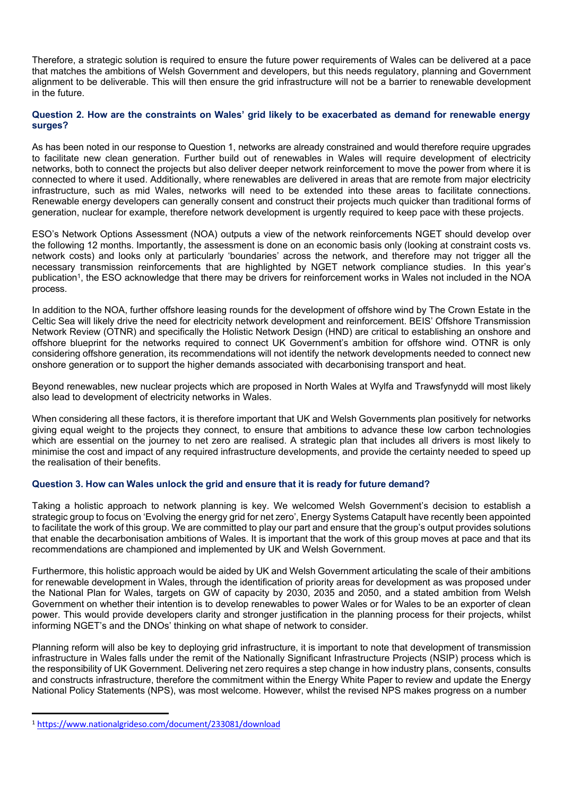Therefore, a strategic solution is required to ensure the future power requirements of Wales can be delivered at a pace that matches the ambitions of Welsh Government and developers, but this needs regulatory, planning and Government alignment to be deliverable. This will then ensure the grid infrastructure will not be a barrier to renewable development in the future.

## Question 2. How are the constraints on Wales' grid likely to be exacerbated as demand for renewable energy **surges?**

As has been noted in our response to Question 1, networks are already constrained and would therefore require upgrades to facilitate new clean generation. Further build out of renewables in Wales will require development of electricity networks, both to connect the projects but also deliver deeper network reinforcement to move the power from where it is connected to where it used. Additionally, where renewables are delivered in areas that are remote from major electricity infrastructure, such as mid Wales, networks will need to be extended into these areas to facilitate connections. Renewable energy developers can generally consent and construct their projects much quicker than traditional forms of generation, nuclear for example, therefore network development is urgently required to keep pace with these projects.

ESO's Network Options Assessment (NOA) outputs a view of the network reinforcements NGET should develop over the following 12 months. Importantly, the assessment is done on an economic basis only (looking at constraint costs vs. network costs) and looks only at particularly 'boundaries' across the network, and therefore may not trigger all the necessary transmission reinforcements that are highlighted by NGET network compliance studies. In this year's publication<sup>1</sup>, the ESO acknowledge that there may be drivers for reinforcement works in Wales not included in the NOA process.

In addition to the NOA, further offshore leasing rounds for the development of offshore wind by The Crown Estate in the Celtic Sea will likely drive the need for electricity network development and reinforcement. BEIS' Offshore Transmission Network Review (OTNR) and specifically the Holistic Network Design (HND) are critical to establishing an onshore and offshore blueprint for the networks required to connect UK Government's ambition for offshore wind. OTNR is only considering offshore generation, its recommendations will not identify the network developments needed to connect new onshore generation or to support the higher demands associated with decarbonising transport and heat.

Beyond renewables, new nuclear projects which are proposed in North Wales at Wylfa and Trawsfynydd will most likely also lead to development of electricity networks in Wales.

When considering all these factors, it is therefore important that UK and Welsh Governments plan positively for networks giving equal weight to the projects they connect, to ensure that ambitions to advance these low carbon technologies which are essential on the journey to net zero are realised. A strategic plan that includes all drivers is most likely to minimise the cost and impact of any required infrastructure developments, and provide the certainty needed to speed up the realisation of their benefits.

# **Question 3. How can Wales unlock the grid and ensure that it is ready for future demand?**

Taking a holistic approach to network planning is key. We welcomed Welsh Government's decision to establish a strategic group to focus on 'Evolving the energy grid for net zero', Energy Systems Catapult have recently been appointed to facilitate the work of this group. We are committed to play our part and ensure that the group's output provides solutions that enable the decarbonisation ambitions of Wales. It is important that the work of this group moves at pace and that its recommendations are championed and implemented by UK and Welsh Government.

Furthermore, this holistic approach would be aided by UK and Welsh Government articulating the scale of their ambitions for renewable development in Wales, through the identification of priority areas for development as was proposed under the National Plan for Wales, targets on GW of capacity by 2030, 2035 and 2050, and a stated ambition from Welsh Government on whether their intention is to develop renewables to power Wales or for Wales to be an exporter of clean power. This would provide developers clarity and stronger justification in the planning process for their projects, whilst informing NGET's and the DNOs' thinking on what shape of network to consider.

Planning reform will also be key to deploying grid infrastructure, it is important to note that development of transmission infrastructure in Wales falls under the remit of the Nationally Significant Infrastructure Projects (NSIP) process which is the responsibility of UK Government. Delivering net zero requires a step change in how industry plans, consents, consults and constructs infrastructure, therefore the commitment within the Energy White Paper to review and update the Energy National Policy Statements (NPS), was most welcome. However, whilst the revised NPS makes progress on a number

<sup>1</sup> https://ww[w.n](https://www.nationalgrideso.com/document/233081/download)ationalgrides[o.c](https://www.nationalgrideso.com/document/233081/download)o[m/d](https://www.nationalgrideso.com/document/233081/download)ocument[/](https://www.nationalgrideso.com/document/233081/download)23308[1/d](https://www.nationalgrideso.com/document/233081/download)ownload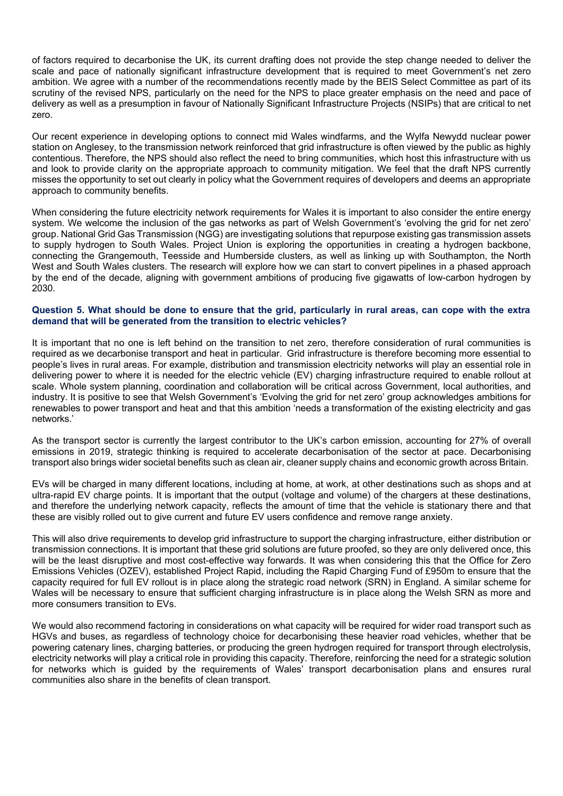of factors required to decarbonise the UK, its current drafting does not provide the step change needed to deliver the scale and pace of nationally significant infrastructure development that is required to meet Government's net zero ambition. We agree with a number of the recommendations recently made by the BEIS Select Committee as part of its scrutiny of the revised NPS, particularly on the need for the NPS to place greater emphasis on the need and pace of delivery as well as a presumption in favour of Nationally Significant Infrastructure Projects (NSIPs) that are critical to net zero.

Our recent experience in developing options to connect mid Wales windfarms, and the Wylfa Newydd nuclear power station on Anglesey, to the transmission network reinforced that grid infrastructure is often viewed by the public as highly contentious. Therefore, the NPS should also reflect the need to bring communities, which host this infrastructure with us and look to provide clarity on the appropriate approach to community mitigation. We feel that the draft NPS currently misses the opportunity to set out clearly in policy what the Government requires of developers and deems an appropriate approach to community benefits.

When considering the future electricity network requirements for Wales it is important to also consider the entire energy system. We welcome the inclusion of the gas networks as part of Welsh Government's 'evolving the grid for net zero' group. National Grid Gas Transmission (NGG) are investigating solutions that repurpose existing gas transmission assets to supply hydrogen to South Wales. Project Union is exploring the opportunities in creating a hydrogen backbone, connecting the Grangemouth, Teesside and Humberside clusters, as well as linking up with Southampton, the North West and South Wales clusters. The research will explore how we can start to convert pipelines in a phased approach by the end of the decade, aligning with government ambitions of producing five gigawatts of low-carbon hydrogen by 2030.

## Question 5. What should be done to ensure that the grid, particularly in rural areas, can cope with the extra **demand that will be generated from the transition to electric vehicles?**

It is important that no one is left behind on the transition to net zero, therefore consideration of rural communities is required as we decarbonise transport and heat in particular. Grid infrastructure is therefore becoming more essential to people's lives in rural areas. For example, distribution and transmission electricity networks will play an essential role in delivering power to where it is needed for the electric vehicle (EV) charging infrastructure required to enable rollout at scale. Whole system planning, coordination and collaboration will be critical across Government, local authorities, and industry. It is positive to see that Welsh Government's 'Evolving the grid for net zero' group acknowledges ambitions for renewables to power transport and heat and that this ambition 'needs a transformation of the existing electricity and gas networks.'

As the transport sector is currently the largest contributor to the UK's carbon emission, accounting for 27% of overall emissions in 2019, strategic thinking is required to accelerate decarbonisation of the sector at pace. Decarbonising transport also brings wider societal benefits such as clean air, cleaner supply chains and economic growth across Britain.

EVs will be charged in many different locations, including at home, at work, at other destinations such as shops and at ultra-rapid EV charge points. It is important that the output (voltage and volume) of the chargers at these destinations, and therefore the underlying network capacity, reflects the amount of time that the vehicle is stationary there and that these are visibly rolled out to give current and future EV users confidence and remove range anxiety.

This will also drive requirements to develop grid infrastructure to support the charging infrastructure, either distribution or transmission connections. It is important that these grid solutions are future proofed, so they are only delivered once, this will be the least disruptive and most cost-effective way forwards. It was when considering this that the Office for Zero Emissions Vehicles (OZEV), established Project Rapid, including the Rapid Charging Fund of £950m to ensure that the capacity required for full EV rollout is in place along the strategic road network (SRN) in England. A similar scheme for Wales will be necessary to ensure that sufficient charging infrastructure is in place along the Welsh SRN as more and more consumers transition to EVs.

We would also recommend factoring in considerations on what capacity will be required for wider road transport such as HGVs and buses, as regardless of technology choice for decarbonising these heavier road vehicles, whether that be powering catenary lines, charging batteries, or producing the green hydrogen required for transport through electrolysis, electricity networks will play a critical role in providing this capacity. Therefore, reinforcing the need for a strategic solution for networks which is guided by the requirements of Wales' transport decarbonisation plans and ensures rural communities also share in the benefits of clean transport.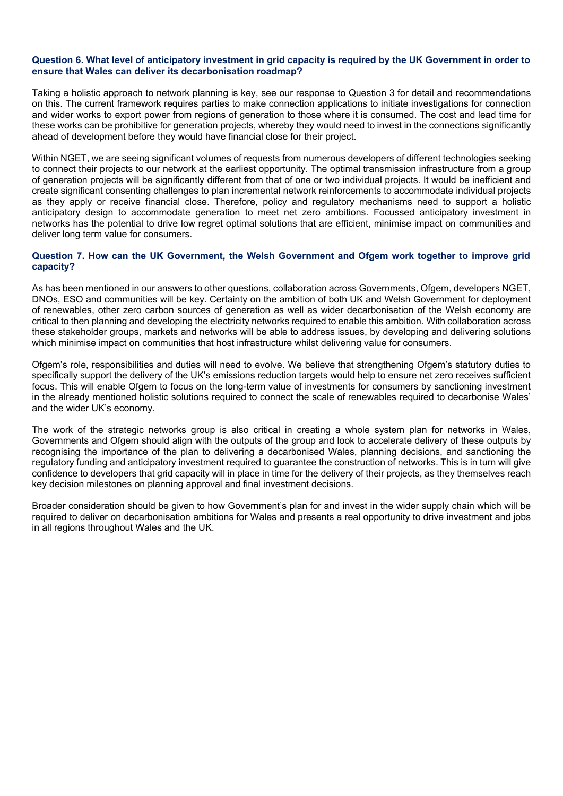### Question 6. What level of anticipatory investment in grid capacity is required by the UK Government in order to **ensure that Wales can deliver its decarbonisation roadmap?**

Taking a holistic approach to network planning is key, see our response to Question 3 for detail and recommendations on this. The current framework requires parties to make connection applications to initiate investigations for connection and wider works to export power from regions of generation to those where it is consumed. The cost and lead time for these works can be prohibitive for generation projects, whereby they would need to invest in the connections significantly ahead of development before they would have financial close for their project.

Within NGET, we are seeing significant volumes of requests from numerous developers of different technologies seeking to connect their projects to our network at the earliest opportunity. The optimal transmission infrastructure from a group of generation projects will be significantly different from that of one or two individual projects. It would be inefficient and create significant consenting challenges to plan incremental network reinforcements to accommodate individual projects as they apply or receive financial close. Therefore, policy and regulatory mechanisms need to support a holistic anticipatory design to accommodate generation to meet net zero ambitions. Focussed anticipatory investment in networks has the potential to drive low regret optimal solutions that are efficient, minimise impact on communities and deliver long term value for consumers.

## **Question 7. How can the UK Government, the Welsh Government and Ofgem work together to improve grid capacity?**

As has been mentioned in our answers to other questions, collaboration across Governments, Ofgem, developers NGET, DNOs, ESO and communities will be key. Certainty on the ambition of both UK and Welsh Government for deployment of renewables, other zero carbon sources of generation as well as wider decarbonisation of the Welsh economy are critical to then planning and developing the electricity networks required to enable this ambition. With collaboration across these stakeholder groups, markets and networks will be able to address issues, by developing and delivering solutions which minimise impact on communities that host infrastructure whilst delivering value for consumers.

Ofgem's role, responsibilities and duties will need to evolve. We believe that strengthening Ofgem's statutory duties to specifically support the delivery of the UK's emissions reduction targets would help to ensure net zero receives sufficient focus. This will enable Ofgem to focus on the long-term value of investments for consumers by sanctioning investment in the already mentioned holistic solutions required to connect the scale of renewables required to decarbonise Wales' and the wider UK's economy.

The work of the strategic networks group is also critical in creating a whole system plan for networks in Wales, Governments and Ofgem should align with the outputs of the group and look to accelerate delivery of these outputs by recognising the importance of the plan to delivering a decarbonised Wales, planning decisions, and sanctioning the regulatory funding and anticipatory investment required to guarantee the construction of networks. This is in turn will give confidence to developers that grid capacity will in place in time for the delivery of their projects, as they themselves reach key decision milestones on planning approval and final investment decisions.

Broader consideration should be given to how Government's plan for and invest in the wider supply chain which will be required to deliver on decarbonisation ambitions for Wales and presents a real opportunity to drive investment and jobs in all regions throughout Wales and the UK.